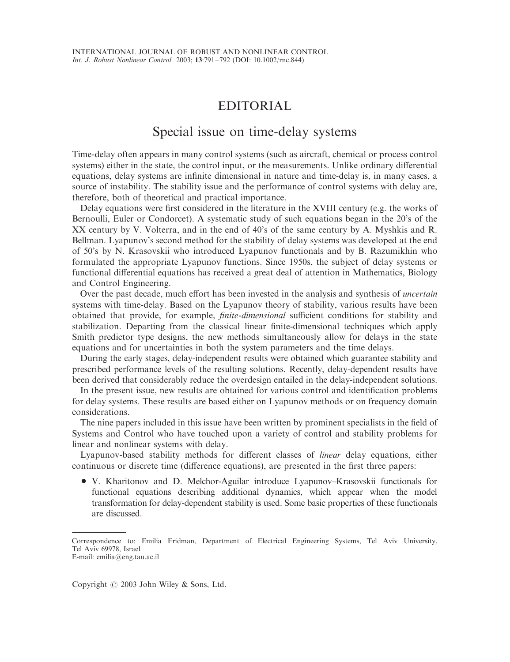## EDITORIAL

## Special issue on time-delay systems

Time-delay often appears in many control systems (such as aircraft, chemical or process control systems) either in the state, the control input, or the measurements. Unlike ordinary differential equations, delay systems are infinite dimensional in nature and time-delay is, in many cases, a source of instability. The stability issue and the performance of control systems with delay are, therefore, both of theoretical and practical importance.

Delay equations were first considered in the literature in the XVIII century (e.g. the works of Bernoulli, Euler or Condorcet). A systematic study of such equations began in the 20's of the XX century by V. Volterra, and in the end of 40's of the same century by A. Myshkis and R. Bellman. Lyapunov's second method for the stability of delay systems was developed at the end of 50's by N. Krasovskii who introduced Lyapunov functionals and by B. Razumikhin who formulated the appropriate Lyapunov functions. Since 1950s, the subject of delay systems or functional differential equations has received a great deal of attention in Mathematics, Biology and Control Engineering.

Over the past decade, much effort has been invested in the analysis and synthesis of *uncertain* systems with time-delay. Based on the Lyapunov theory of stability, various results have been obtained that provide, for example, finite-dimensional sufficient conditions for stability and stabilization. Departing from the classical linear finite-dimensional techniques which apply Smith predictor type designs, the new methods simultaneously allow for delays in the state equations and for uncertainties in both the system parameters and the time delays.

During the early stages, delay-independent results were obtained which guarantee stability and prescribed performance levels of the resulting solutions. Recently, delay-dependent results have been derived that considerably reduce the overdesign entailed in the delay-independent solutions.

In the present issue, new results are obtained for various control and identification problems for delay systems. These results are based either on Lyapunov methods or on frequency domain considerations.

The nine papers included in this issue have been written by prominent specialists in the field of Systems and Control who have touched upon a variety of control and stability problems for linear and nonlinear systems with delay.

Lyapunov-based stability methods for different classes of linear delay equations, either continuous or discrete time (difference equations), are presented in the first three papers:

• V. Kharitonov and D. Melchor-Aguilar introduce Lyapunov–Krasovskii functionals for functional equations describing additional dynamics, which appear when the model transformation for delay-dependent stability is used. Some basic properties of these functionals are discussed.

Copyright  $\odot$  2003 John Wiley & Sons, Ltd.

Correspondence to: Emilia Fridman, Department of Electrical Engineering Systems, Tel Aviv University, Tel Aviv 69978, Israel

E-mail: emilia@eng.tau.ac.il